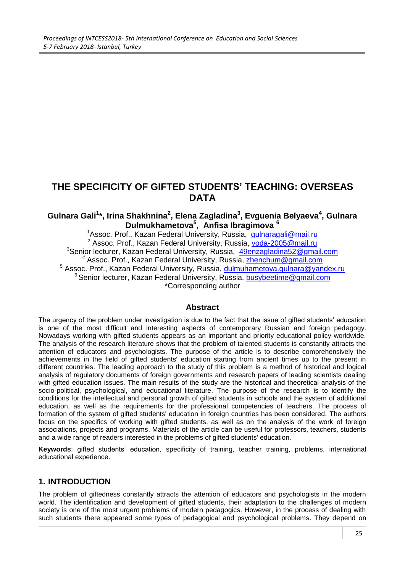# **THE SPECIFICITY OF GIFTED STUDENTS' TEACHING: OVERSEAS DATA**

#### **Gulnara Gali<sup>1</sup> \*, Irina Shakhnina<sup>2</sup> , Elena Zagladina<sup>3</sup> , Evguenia Belyaeva<sup>4</sup> , Gulnara Dulmukhametova<sup>5</sup> , Anfisa Ibragimova <sup>6</sup>**

<sup>1</sup>Assoc. Prof., Kazan Federal University, Russia, [gulnaragali@mail.ru](mailto:gulnaragali@mail.ru) <sup>2</sup> Assoc. Prof., Kazan Federal University, Russia, [voda-2005@mail.ru](mailto:voda-2005@mail.ru) <sup>3</sup>[Senior lecturer, Kazan Federal University, Russia,](mailto:3Senior%20lecturer,%20Kazan%20Federal%20University,%20Russia,%2049enzagladina52@gmail.com) [49enzagladina52@gmail.com](mailto:49enzagladina52@gmail.com) *<sup>4</sup>* Assoc. Prof., Kazan Federal University, Russia, [zhenchum@gmail.com](mailto:zhenchum@gmail.com) <sup>5</sup> Assoc. Prof., Kazan Federal University, Russia, [dulmuhametova.gulnara@yandex.ru](mailto:dulmuhametova.gulnara@yandex.ru) <sup>6</sup> Senior lecturer, Kazan Federal University, Russia, [busybeetime@gmail.com](mailto:busybeetime@gmail.com) \*Corresponding author

#### **Abstract**

The urgency of the problem under investigation is due to the fact that the issue of gifted students' education is one of the most difficult and interesting aspects of contemporary Russian and foreign pedagogy. Nowadays working with gifted students appears as an important and priority educational policy worldwide. The analysis of the research literature shows that the problem of talented students is constantly attracts the attention of educators and psychologists. The purpose of the article is to describe comprehensively the achievements in the field of gifted students' education starting from ancient times up to the present in different countries. The leading approach to the study of this problem is a method of historical and logical analysis of regulatory documents of foreign governments and research papers of leading scientists dealing with gifted education issues. The main results of the study are the historical and theoretical analysis of the socio-political, psychological, and educational literature. The purpose of the research is to identify the conditions for the intellectual and personal growth of gifted students in schools and the system of additional education, as well as the requirements for the professional competencies of teachers. The process of formation of the system of gifted students' education in foreign countries has been considered. The authors focus on the specifics of working with gifted students, as well as on the analysis of the work of foreign associations, projects and programs. Materials of the article can be useful for professors, teachers, students and a wide range of readers interested in the problems of gifted students' education.

**Keywords**: gifted students' education, specificity of training, teacher training, problems, international educational experience.

#### **1. INTRODUCTION**

The problem of giftedness constantly attracts the attention of educators and psychologists in the modern world. The identification and development of gifted students, their adaptation to the challenges of modern society is one of the most urgent problems of modern pedagogics. However, in the process of dealing with such students there appeared some types of pedagogical and psychological problems. They depend on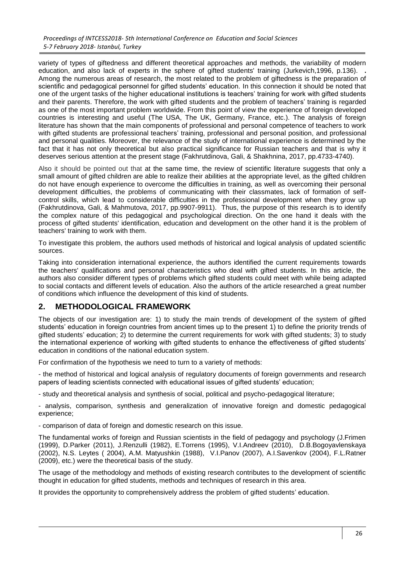variety of types of giftedness and different theoretical approaches and methods, the variability of modern education, and also lack of experts in the sphere of gifted students' training (Jurkevich,1996, p.136). **.** Among the numerous areas of research, the most related to the problem of giftedness is the preparation of scientific and pedagogical personnel for gifted students' education. In this connection it should be noted that one of the urgent tasks of the higher educational institutions is teachers' training for work with gifted students and their parents. Therefore, the work with gifted students and the problem of teachers' training is regarded as one of the most important problem worldwide. From this point of view the experience of foreign developed countries is interesting and useful (The USA, The UK, Germany, France, etc.). The analysis of foreign literature has shown that the main components of professional and personal competence of teachers to work with gifted students are professional teachers' training, professional and personal position, and professional and personal qualities. Moreover, the relevance of the study of international experience is determined by the fact that it has not only theoretical but also practical significance for Russian teachers and that is why it deserves serious attention at the present stage [\(Fakhrutdinova,](https://library.iated.org/authors/Anastasia_Fakhrutdinova) [Gali,](https://library.iated.org/authors/Gulnara_Gali) [& Shakhnina,](https://library.iated.org/authors/Irina_Shakhnina) 2017, pp.4733-4740).

Also it should be pointed out that at the same time, the review of scientific literature suggests that only a small amount of gifted children are able to realize their abilities at the appropriate level, as the gifted children do not have enough experience to overcome the difficulties in training, as well as overcoming their personal development difficulties, the problems of communicating with their classmates, lack of formation of selfcontrol skills, which lead to considerable difficulties in the professional development when they grow up (Fakhrutdinova, Gali, & Mahmutova, 2017, pp.9907-9911). Thus, the purpose of this research is to identify the complex nature of this pedagogical and psychological direction. On the one hand it deals with the process of gifted students' identification, education and development on the other hand it is the problem of teachers' training to work with them.

To investigate this problem, the authors used methods of historical and logical analysis of updated scientific sources.

Taking into consideration international experience, the authors identified the current requirements towards the teachers' qualifications and personal characteristics who deal with gifted students. In this article, the authors also consider different types of problems which gifted students could meet with while being adapted to social contacts and different levels of education. Also the authors of the article researched a great number of conditions which influence the development of this kind of students.

#### **2. METHODOLOGICAL FRAMEWORK**

The objects of our investigation are: 1) to study the main trends of development of the system of gifted students' education in foreign countries from ancient times up to the present 1) to define the priority trends of gifted students' education; 2) to determine the current requirements for work with gifted students; 3) to study the international experience of working with gifted students to enhance the effectiveness of gifted students' education in conditions of the national education system.

For confirmation of the hypothesis we need to turn to a variety of methods:

- the method of historical and logical analysis of regulatory documents of foreign governments and research papers of leading scientists connected with educational issues of gifted students' education;

- study and theoretical analysis and synthesis of social, political and psycho-pedagogical literature;

- analysis, comparison, synthesis and generalization of innovative foreign and domestic pedagogical experience;

- comparison of data of foreign and domestic research on this issue.

The fundamental works of foreign and Russian scientists in the field of pedagogy and psychology (J.Frimen (1999), D.Parker (2011), J.Renzulli (1982), E.Torrens (1995), V.I.Andreev (2010), D.B.Bogoyavlenskaya (2002), N.S. Leytes ( 2004), A.M. Matyushkin (1988), V.I.Panov (2007), A.I.Savenkov (2004), F.L.Ratner (2009), etc.) were the theoretical basis of the study.

The usage of the methodology and methods of existing research contributes to the development of scientific thought in education for gifted students, methods and techniques of research in this area.

It provides the opportunity to comprehensively address the problem of gifted students' education.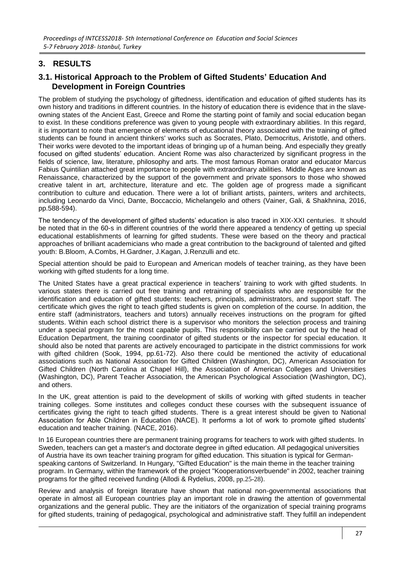### **3. RESULTS**

#### **3.1. Historical Approach to the Problem of Gifted Students' Education And Development in Foreign Countries**

The problem of studying the psychology of giftedness, identification and education of gifted students has its own history and traditions in different countries. In the history of education there is evidence that in the slaveowning states of the Ancient East, Greece and Rome the starting point of family and social education began to exist. In these conditions preference was given to young people with extraordinary abilities. In this regard, it is important to note that emergence of elements of educational theory associated with the training of gifted students can be found in ancient thinkers' works such as Socrates, Plato, Democritus, Aristotle, and others. Their works were devoted to the important ideas of bringing up of a human being. And especially they greatly focused on gifted students' education. Ancient Rome was also characterized by significant progress in the fields of science, law, literature, philosophy and arts. The most famous Roman orator and educator Marcus Fabius Quintilian attached great importance to people with extraordinary abilities. Middle Ages are known as Renaissance, characterized by the support of the government and private sponsors to those who showed creative talent in art, architecture, literature and etc. The golden age of progress made a significant contribution to culture and education. There were a lot of brilliant artists, painters, writers and architects, including Leonardo da Vinci, Dante, Boccaccio, Michelangelo and others (Vainer, Gali, & Shakhnina, 2016, pp.588-594).

The tendency of the development of gifted students' education is also traced in XIX-XXI centuries. It should be noted that in the 60-s in different countries of the world there appeared a tendency of getting up special educational establishments of learning for gifted students. These were based on the theory and practical approaches of brilliant academicians who made a great contribution to the background of talented and gifted youth: B.Bloom, A.Combs, H.Gardner, J.Kagan, J.Renzulli and etc.

Special attention should be paid to European and American models of teacher training, as they have been working with gifted students for a long time.

The United States have a great practical experience in teachers' training to work with gifted students. In various states there is carried out free training and retraining of specialists who are responsible for the identification and education of gifted students: teachers, principals, administrators, and support staff. The certificate which gives the right to teach gifted students is given on completion of the course. In addition, the entire staff (administrators, teachers and tutors) annually receives instructions on the program for gifted students. Within each school district there is a supervisor who monitors the selection process and training under a special program for the most capable pupils. This responsibility can be carried out by the head of Education Department, the training coordinator of gifted students or the inspector for special education. It should also be noted that parents are actively encouraged to participate in the district commissions for work with gifted children (Sook, 1994, pp.61-72). Also there could be mentioned the activity of educational associations such as National Association for Gifted Children (Washington, DC), American Association for Gifted Children (North Carolina at Chapel Hill), the Association of American Colleges and Universities (Washington, DC), Parent Teacher Association, the American Psychological Association (Washington, DC), and others.

In the UK, great attention is paid to the development of skills of working with gifted students in teacher training colleges. Some institutes and colleges conduct these courses with the subsequent issuance of certificates giving the right to teach gifted students. There is a great interest should be given to National Association for Able Children in Education (NACE). It performs a lot of work to promote gifted students' education and teacher training. (NACE, 2016).

In 16 European countries there are permanent training programs for teachers to work with gifted students. In Sweden, teachers can get a master's and doctorate degree in gifted education. All pedagogical universities of Austria have its own teacher training program for gifted education. This situation is typical for Germanspeaking cantons of Switzerland. In Hungary, "Gifted Education" is the main theme in the teacher training program. In Germany, within the framework of the project "Kooperationsverbuende" in 2002, teacher training programs for the gifted received funding (Allodi & Rydelius, 2008, pp.25-28).

Review and analysis of foreign literature have shown that national non-governmental associations that operate in almost all European countries play an important role in drawing the attention of governmental organizations and the general public. They are the initiators of the organization of special training programs for gifted students, training of pedagogical, psychological and administrative staff. They fulfill an independent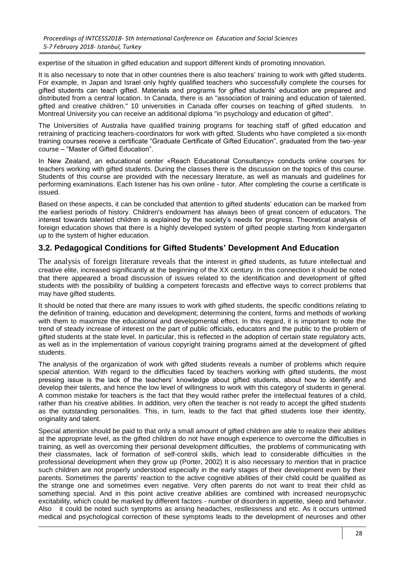expertise of the situation in gifted education and support different kinds of promoting innovation.

It is also necessary to note that in other countries there is also teachers' training to work with gifted students. For example, in Japan and Israel only highly qualified teachers who successfully complete the courses for gifted students can teach gifted. Materials and programs for gifted students' education are prepared and distributed from a central location. In Canada, there is an "association of training and education of talented, gifted and creative children." 10 universities in Canada offer courses on teaching of gifted students. In Montreal University you can receive an additional diploma "in psychology and education of gifted".

The Universities of Australia have qualified training programs for teaching staff of gifted education and retraining of practicing teachers-coordinators for work with gifted. Students who have completed a six-month training courses receive a certificate "Graduate Certificate of Gifted Education", graduated from the two-year course – "Master of Gifted Education".

In New Zealand, an educational center «Reach Educational Consultancy» conducts online courses for teachers working with gifted students. During the classes there is the discussion on the topics of this course. Students of this course are provided with the necessary literature, as well as manuals and guidelines for performing examinations. Each listener has his own online - tutor. After completing the course a certificate is issued.

Based on these aspects, it can be concluded that attention to gifted students' education can be marked from the earliest periods of history. Children's endowment has always been of great concern of educators. The interest towards talented children is explained by the society's needs for progress. Theoretical analysis of foreign education shows that there is a highly developed system of gifted people starting from kindergarten up to the system of higher education.

#### **3.2. Pedagogical Conditions for Gifted Students' Development And Education**

The analysis of foreign literature reveals that the interest in gifted students, as future intellectual and creative elite, increased significantly at the beginning of the XX century. In this connection it should be noted that there appeared a broad discussion of issues related to the identification and development of gifted students with the possibility of building a competent forecasts and effective ways to correct problems that may have gifted students.

It should be noted that there are many issues to work with gifted students, the specific conditions relating to the definition of training, education and development; determining the content, forms and methods of working with them to maximize the educational and developmental effect. In this regard, it is important to note the trend of steady increase of interest on the part of public officials, educators and the public to the problem of gifted students at the state level. In particular, this is reflected in the adoption of certain state regulatory acts, as well as in the implementation of various copyright training programs aimed at the development of gifted students.

The analysis of the organization of work with gifted students reveals a number of problems which require special attention. With regard to the difficulties faced by teachers working with gifted students, the most pressing issue is the lack of the teachers' knowledge about gifted students, about how to identify and develop their talents, and hence the low level of willingness to work with this category of students in general. A common mistake for teachers is the fact that they would rather prefer the intellectual features of a child, rather than his creative abilities. In addition, very often the teacher is not ready to accept the gifted students as the outstanding personalities. This, in turn, leads to the fact that gifted students lose their identity, originality and talent.

Special attention should be paid to that only a small amount of gifted children are able to realize their abilities at the appropriate level, as the gifted children do not have enough experience to overcome the difficulties in training, as well as overcoming their personal development difficulties, the problems of communicating with their classmates, lack of formation of self-control skills, which lead to considerable difficulties in the professional development when they grow up (Porter, 2002) It is also necessary to mention that in practice such children are not properly understood especially in the early stages of their development even by their parents. Sometimes the parents' reaction to the active cognitive abilities of their child could be qualified as the strange one and sometimes even negative. Very often parents do not want to treat their child as something special. And in this point active creative abilities are combined with increased neuropsychic excitability, which could be marked by different factors - number of disorders in appetite, sleep and behavior. Also it could be noted such symptoms as arising headaches, restlessness and etc. As it occurs untimed medical and psychological correction of these symptoms leads to the development of neuroses and other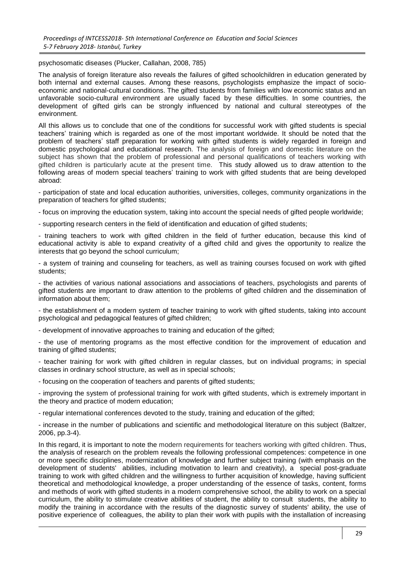psychosomatic diseases (Plucker, Callahan, 2008, 785)

The analysis of foreign literature also reveals the failures of gifted schoolchildren in education generated by both internal and external causes. Among these reasons, psychologists emphasize the impact of socioeconomic and national-cultural conditions. The gifted students from families with low economic status and an unfavorable socio-cultural environment are usually faced by these difficulties. In some countries, the development of gifted girls can be strongly influenced by national and cultural stereotypes of the environment.

All this allows us to conclude that one of the conditions for successful work with gifted students is special teachers' training which is regarded as one of the most important worldwide. It should be noted that the problem of teachers' staff preparation for working with gifted students is widely regarded in foreign and domestic psychological and educational research. The analysis of foreign and domestic literature on the subject has shown that the problem of professional and personal qualifications of teachers working with gifted children is particularly acute at the present time. This study allowed us to draw attention to the following areas of modern special teachers' training to work with gifted students that are being developed abroad:

- participation of state and local education authorities, universities, colleges, community organizations in the preparation of teachers for gifted students;

- focus on improving the education system, taking into account the special needs of gifted people worldwide;

- supporting research centers in the field of identification and education of gifted students;

- training teachers to work with gifted children in the field of further education, because this kind of educational activity is able to expand creativity of a gifted child and gives the opportunity to realize the interests that go beyond the school curriculum;

- a system of training and counseling for teachers, as well as training courses focused on work with gifted students;

- the activities of various national associations and associations of teachers, psychologists and parents of gifted students are important to draw attention to the problems of gifted children and the dissemination of information about them;

- the establishment of a modern system of teacher training to work with gifted students, taking into account psychological and pedagogical features of gifted children;

- development of innovative approaches to training and education of the gifted;

- the use of mentoring programs as the most effective condition for the improvement of education and training of gifted students;

- teacher training for work with gifted children in regular classes, but on individual programs; in special classes in ordinary school structure, as well as in special schools;

- focusing on the cooperation of teachers and parents of gifted students;

- improving the system of professional training for work with gifted students, which is extremely important in the theory and practice of modern education;

- regular international conferences devoted to the study, training and education of the gifted;

- increase in the number of publications and scientific and methodological literature on this subject (Baltzer, 2006, pp.3-4).

In this regard, it is important to note the modern requirements for teachers working with gifted children. Thus, the analysis of research on the problem reveals the following professional competences: competence in one or more specific disciplines, modernization of knowledge and further subject training (with emphasis on the development of students' abilities, including motivation to learn and creativity), a special post-graduate training to work with gifted children and the willingness to further acquisition of knowledge, having sufficient theoretical and methodological knowledge, a proper understanding of the essence of tasks, content, forms and methods of work with gifted students in a modern comprehensive school, the ability to work on a special curriculum, the ability to stimulate creative abilities of student, the ability to consult students, the ability to modify the training in accordance with the results of the diagnostic survey of students' ability, the use of positive experience of colleagues, the ability to plan their work with pupils with the installation of increasing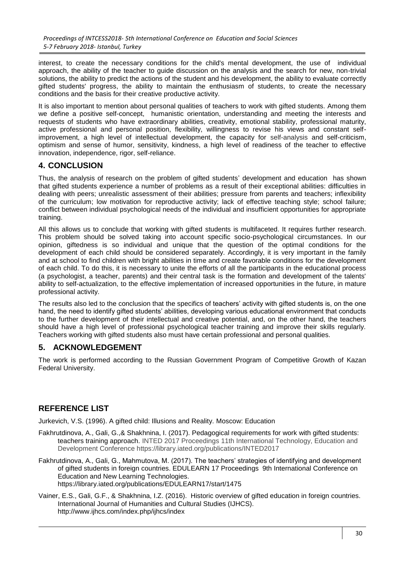interest, to create the necessary conditions for the child's mental development, the use of individual approach, the ability of the teacher to guide discussion on the analysis and the search for new, non-trivial solutions, the ability to predict the actions of the student and his development, the ability to evaluate correctly gifted students' progress, the ability to maintain the enthusiasm of students, to create the necessary conditions and the basis for their creative productive activity.

It is also important to mention about personal qualities of teachers to work with gifted students. Among them we define a positive self-concept, humanistic orientation, understanding and meeting the interests and requests of students who have extraordinary abilities, creativity, emotional stability, professional maturity, active professional and personal position, flexibility, willingness to revise his views and constant selfimprovement, a high level of intellectual development, the capacity for self-analysis and self-criticism, optimism and sense of humor, sensitivity, kindness, a high level of readiness of the teacher to effective innovation, independence, rigor, self-reliance.

### **4. CONCLUSION**

Thus, the analysis of research on the problem of gifted students' development and education has shown that gifted students experience a number of problems as a result of their exceptional abilities: difficulties in dealing with peers; unrealistic assessment of their abilities; pressure from parents and teachers; inflexibility of the curriculum; low motivation for reproductive activity; lack of effective teaching style; school failure; conflict between individual psychological needs of the individual and insufficient opportunities for appropriate training.

All this allows us to conclude that working with gifted students is multifaceted. It requires further research. This problem should be solved taking into account specific socio-psychological circumstances. In our opinion, giftedness is so individual and unique that the question of the optimal conditions for the development of each child should be considered separately. Accordingly, it is very important in the family and at school to find children with bright abilities in time and create favorable conditions for the development of each child. To do this, it is necessary to unite the efforts of all the participants in the educational process (a psychologist, a teacher, parents) and their central task is the formation and development of the talents' ability to self-actualization, to the effective implementation of increased opportunities in the future, in mature professional activity.

The results also led to the conclusion that the specifics of teachers' activity with gifted students is, on the one hand, the need to identify gifted students' abilities, developing various educational environment that conducts to the further development of their intellectual and creative potential, and, on the other hand, the teachers should have a high level of professional psychological teacher training and improve their skills regularly. Teachers working with gifted students also must have certain professional and personal qualities.

## **5. ACKNOWLEDGEMENT**

The work is performed according to the Russian Government Program of Competitive Growth of Kazan Federal University.

## **REFERENCE LIST**

Jurkevich, V.S. (1996). A gifted child: Illusions and Reality. Moscow: Education

[Fakhrutdinova,](https://library.iated.org/authors/Anastasia_Fakhrutdinova) A., [Gali,](https://library.iated.org/authors/Gulnara_Gali) G.,& [Shakhnina,](https://library.iated.org/authors/Irina_Shakhnina) I. (2017). Pedagogical requirements for work with gifted students: teachers training approach. [INTED 2017 Proceedings](https://library.iated.org/publications/INTED2017) 11th International Technology, Education and Development Conference https://library.iated.org/publications/INTED2017

Fakhrutdinova, A., Gali, G., Mahmutova, M. (2017). The teachers' strategies of identifying and development of gifted students in foreign countries. EDULEARN 17 Proceedings 9th International Conference on Education and New Learning Technologies. https://library.iated.org/publications/EDULEARN17/start/1475

Vainer, E.S., Gali, G.F., & Shakhnina, I.Z. (2016). Historic overview of gifted education in foreign countries. International Journal of Humanities and Cultural Studies (IJHCS). <http://www.ijhcs.com/index.php/ijhcs/index>